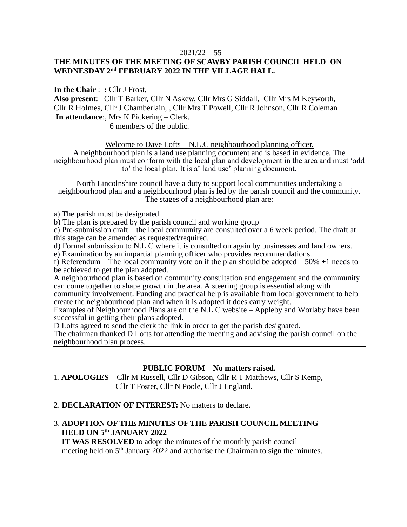#### $2021/22 - 55$

## **THE MINUTES OF THE MEETING OF SCAWBY PARISH COUNCIL HELD ON WEDNESDAY 2 nd FEBRUARY 2022 IN THE VILLAGE HALL.**

**In the Chair** : **:** Cllr J Frost, **Also present**: Cllr T Barker, Cllr N Askew, Cllr Mrs G Siddall, Cllr Mrs M Keyworth, Cllr R Holmes, Cllr J Chamberlain, , Cllr Mrs T Powell, Cllr R Johnson, Cllr R Coleman **In attendance**:, Mrs K Pickering – Clerk. 6 members of the public.

Welcome to Dave Lofts – N.L.C neighbourhood planning officer.

A neighbourhood plan is a land use planning document and is based in evidence. The neighbourhood plan must conform with the local plan and development in the area and must 'add to' the local plan. It is a' land use' planning document.

North Lincolnshire council have a duty to support local communities undertaking a neighbourhood plan and a neighbourhood plan is led by the parish council and the community. The stages of a neighbourhood plan are:

a) The parish must be designated.

b) The plan is prepared by the parish council and working group

c) Pre-submission draft – the local community are consulted over a 6 week period. The draft at this stage can be amended as requested/required.

d) Formal submission to N.L.C where it is consulted on again by businesses and land owners.

e) Examination by an impartial planning officer who provides recommendations.

f) Referendum – The local community vote on if the plan should be adopted – 50% +1 needs to be achieved to get the plan adopted.

A neighbourhood plan is based on community consultation and engagement and the community can come together to shape growth in the area. A steering group is essential along with

community involvement. Funding and practical help is available from local government to help create the neighbourhood plan and when it is adopted it does carry weight.

Examples of Neighbourhood Plans are on the N.L.C website – Appleby and Worlaby have been successful in getting their plans adopted.

D Lofts agreed to send the clerk the link in order to get the parish designated.

The chairman thanked D Lofts for attending the meeting and advising the parish council on the neighbourhood plan process.

### **PUBLIC FORUM – No matters raised.**

1. **APOLOGIES** – Cllr M Russell, Cllr D Gibson, Cllr R T Matthews, Cllr S Kemp, Cllr T Foster, Cllr N Poole, Cllr J England.

#### 2. **DECLARATION OF INTEREST:** No matters to declare.

### 3. **ADOPTION OF THE MINUTES OF THE PARISH COUNCIL MEETING HELD ON 5 th JANUARY 2022**

 **IT WAS RESOLVED** to adopt the minutes of the monthly parish council meeting held on  $5<sup>th</sup>$  January 2022 and authorise the Chairman to sign the minutes.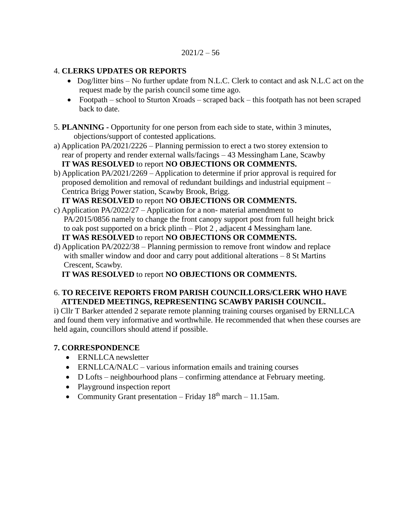## 4. **CLERKS UPDATES OR REPORTS**

- Dog/litter bins No further update from N.L.C. Clerk to contact and ask N.L.C act on the request made by the parish council some time ago.
- Footpath school to Sturton Xroads scraped back this footpath has not been scraped back to date.
- 5. **PLANNING -** Opportunity for one person from each side to state, within 3 minutes, objections/support of contested applications.
- a) Application PA/2021/2226 Planning permission to erect a two storey extension to rear of property and render external walls/facings – 43 Messingham Lane, Scawby  **IT WAS RESOLVED** to report **NO OBJECTIONS OR COMMENTS.**
- b) Application PA/2021/2269 Application to determine if prior approval is required for proposed demolition and removal of redundant buildings and industrial equipment – Centrica Brigg Power station, Scawby Brook, Brigg.

 **IT WAS RESOLVED** to report **NO OBJECTIONS OR COMMENTS.**

- c) Application PA/2022/27 Application for a non- material amendment to PA/2015/0856 namely to change the front canopy support post from full height brick to oak post supported on a brick plinth – Plot 2 , adjacent 4 Messingham lane. **IT WAS RESOLVED** to report **NO OBJECTIONS OR COMMENTS.**
- d) Application PA/2022/38 Planning permission to remove front window and replace with smaller window and door and carry pout additional alterations – 8 St Martins Crescent, Scawby.

**IT WAS RESOLVED** to report **NO OBJECTIONS OR COMMENTS.**

## 6. **TO RECEIVE REPORTS FROM PARISH COUNCILLORS/CLERK WHO HAVE ATTENDED MEETINGS, REPRESENTING SCAWBY PARISH COUNCIL.**

i) Cllr T Barker attended 2 separate remote planning training courses organised by ERNLLCA and found them very informative and worthwhile. He recommended that when these courses are held again, councillors should attend if possible.

# **7. CORRESPONDENCE**

- ERNLLCA newsletter
- ERNLLCA/NALC various information emails and training courses
- D Lofts neighbourhood plans confirming attendance at February meeting.
- Playground inspection report
- Community Grant presentation Friday  $18<sup>th</sup>$  march 11.15am.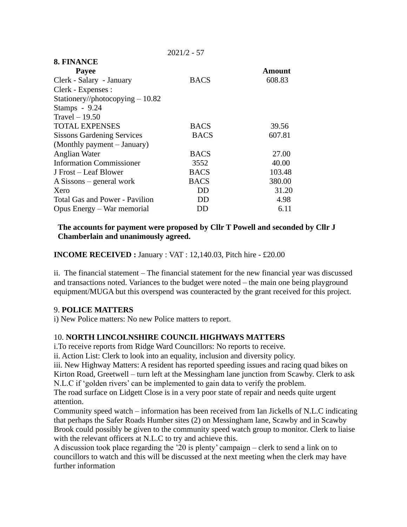|                                   | 2021/2 JI   |        |
|-----------------------------------|-------------|--------|
| 8. FINANCE                        |             |        |
| Payee                             |             | Amount |
| Clerk - Salary - January          | <b>BACS</b> | 608.83 |
| Clerk - Expenses :                |             |        |
| Stationery//photocopying $-10.82$ |             |        |
| Stamps - 9.24                     |             |        |
| Travel $-19.50$                   |             |        |
| <b>TOTAL EXPENSES</b>             | <b>BACS</b> | 39.56  |
| <b>Sissons Gardening Services</b> | <b>BACS</b> | 607.81 |
| (Monthly payment – January)       |             |        |
| Anglian Water                     | <b>BACS</b> | 27.00  |
| <b>Information Commissioner</b>   | 3552        | 40.00  |
| J Frost – Leaf Blower             | <b>BACS</b> | 103.48 |
| $A$ Sissons – general work        | <b>BACS</b> | 380.00 |
| Xero                              | DD          | 31.20  |
| Total Gas and Power - Pavilion    | DD          | 4.98   |
| Opus Energy – War memorial        | DD          | 6.11   |
|                                   |             |        |

 $2021/2 - 57$ 

## **The accounts for payment were proposed by Cllr T Powell and seconded by Cllr J Chamberlain and unanimously agreed.**

**INCOME RECEIVED :** January : VAT : 12,140.03, Pitch hire - £20.00

ii. The financial statement – The financial statement for the new financial year was discussed and transactions noted. Variances to the budget were noted – the main one being playground equipment/MUGA but this overspend was counteracted by the grant received for this project.

## 9. **POLICE MATTERS**

i) New Police matters: No new Police matters to report.

## 10. **NORTH LINCOLNSHIRE COUNCIL HIGHWAYS MATTERS**

i.To receive reports from Ridge Ward Councillors: No reports to receive.

ii. Action List: Clerk to look into an equality, inclusion and diversity policy.

iii. New Highway Matters: A resident has reported speeding issues and racing quad bikes on Kirton Road, Greetwell – turn left at the Messingham lane junction from Scawby. Clerk to ask N.L.C if 'golden rivers' can be implemented to gain data to verify the problem.

The road surface on Lidgett Close is in a very poor state of repair and needs quite urgent attention.

Community speed watch – information has been received from Ian Jickells of N.L.C indicating that perhaps the Safer Roads Humber sites (2) on Messingham lane, Scawby and in Scawby Brook could possibly be given to the community speed watch group to monitor. Clerk to liaise with the relevant officers at N.L.C to try and achieve this.

A discussion took place regarding the '20 is plenty' campaign – clerk to send a link on to councillors to watch and this will be discussed at the next meeting when the clerk may have further information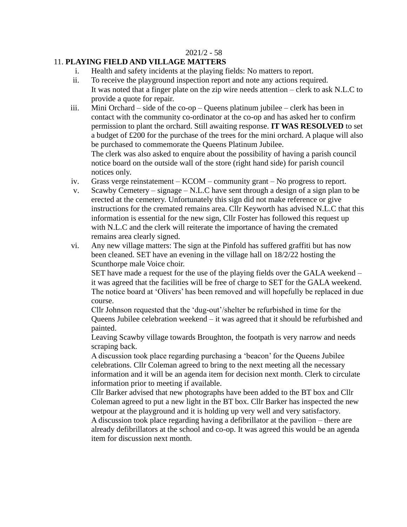#### 2021/2 - 58

#### 11. **PLAYING FIELD AND VILLAGE MATTERS**

- i. Health and safety incidents at the playing fields: No matters to report.
- ii. To receive the playground inspection report and note any actions required. It was noted that a finger plate on the zip wire needs attention – clerk to ask N.L.C to provide a quote for repair.
- iii. Mini Orchard side of the co-op Queens platinum jubilee clerk has been in contact with the community co-ordinator at the co-op and has asked her to confirm permission to plant the orchard. Still awaiting response. **IT WAS RESOLVED** to set a budget of £200 for the purchase of the trees for the mini orchard. A plaque will also be purchased to commemorate the Queens Platinum Jubilee. The clerk was also asked to enquire about the possibility of having a parish council notice board on the outside wall of the store (right hand side) for parish council notices only.
- iv. Grass verge reinstatement KCOM community grant No progress to report.
- v. Scawby Cemetery signage N.L.C have sent through a design of a sign plan to be erected at the cemetery. Unfortunately this sign did not make reference or give instructions for the cremated remains area. Cllr Keyworth has advised N.L.C that this information is essential for the new sign, Cllr Foster has followed this request up with N.L.C and the clerk will reiterate the importance of having the cremated remains area clearly signed.
- vi. Any new village matters: The sign at the Pinfold has suffered graffiti but has now been cleaned. SET have an evening in the village hall on 18/2/22 hosting the Scunthorpe male Voice choir.

SET have made a request for the use of the playing fields over the GALA weekend – it was agreed that the facilities will be free of charge to SET for the GALA weekend. The notice board at 'Olivers' has been removed and will hopefully be replaced in due course.

Cllr Johnson requested that the 'dug-out'/shelter be refurbished in time for the Queens Jubilee celebration weekend – it was agreed that it should be refurbished and painted.

Leaving Scawby village towards Broughton, the footpath is very narrow and needs scraping back.

A discussion took place regarding purchasing a 'beacon' for the Queens Jubilee celebrations. Cllr Coleman agreed to bring to the next meeting all the necessary information and it will be an agenda item for decision next month. Clerk to circulate information prior to meeting if available.

Cllr Barker advised that new photographs have been added to the BT box and Cllr Coleman agreed to put a new light in the BT box. Cllr Barker has inspected the new wetpour at the playground and it is holding up very well and very satisfactory. A discussion took place regarding having a defibrillator at the pavilion – there are already defibrillators at the school and co-op. It was agreed this would be an agenda item for discussion next month.